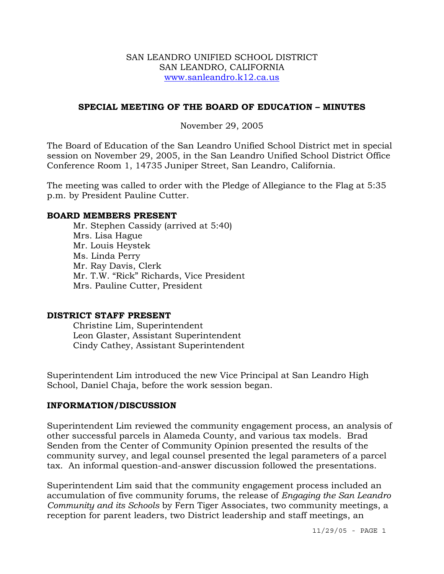### SAN LEANDRO UNIFIED SCHOOL DISTRICT SAN LEANDRO, CALIFORNIA www.sanleandro.k12.ca.us

## **SPECIAL MEETING OF THE BOARD OF EDUCATION – MINUTES**

### November 29, 2005

The Board of Education of the San Leandro Unified School District met in special session on November 29, 2005, in the San Leandro Unified School District Office Conference Room 1, 14735 Juniper Street, San Leandro, California.

The meeting was called to order with the Pledge of Allegiance to the Flag at 5:35 p.m. by President Pauline Cutter.

#### **BOARD MEMBERS PRESENT**

Mr. Stephen Cassidy (arrived at 5:40) Mrs. Lisa Hague Mr. Louis Heystek Ms. Linda Perry Mr. Ray Davis, Clerk Mr. T.W. "Rick" Richards, Vice President Mrs. Pauline Cutter, President

### **DISTRICT STAFF PRESENT**

Christine Lim, Superintendent Leon Glaster, Assistant Superintendent Cindy Cathey, Assistant Superintendent

Superintendent Lim introduced the new Vice Principal at San Leandro High School, Daniel Chaja, before the work session began.

#### **INFORMATION/DISCUSSION**

Superintendent Lim reviewed the community engagement process, an analysis of other successful parcels in Alameda County, and various tax models. Brad Senden from the Center of Community Opinion presented the results of the community survey, and legal counsel presented the legal parameters of a parcel tax. An informal question-and-answer discussion followed the presentations.

Superintendent Lim said that the community engagement process included an accumulation of five community forums, the release of *Engaging the San Leandro Community and its Schools* by Fern Tiger Associates, two community meetings, a reception for parent leaders, two District leadership and staff meetings, an

11/29/05 - PAGE 1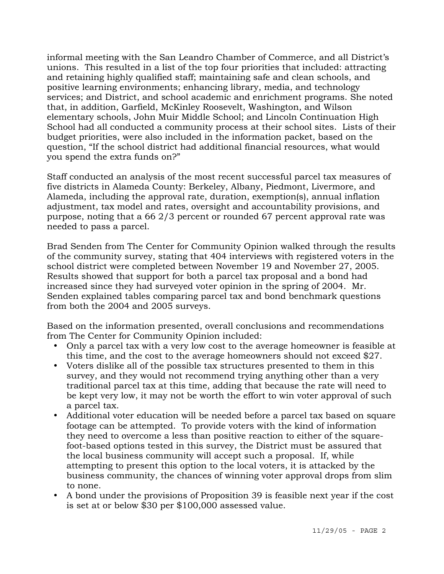informal meeting with the San Leandro Chamber of Commerce, and all District's unions. This resulted in a list of the top four priorities that included: attracting and retaining highly qualified staff; maintaining safe and clean schools, and positive learning environments; enhancing library, media, and technology services; and District, and school academic and enrichment programs. She noted that, in addition, Garfield, McKinley Roosevelt, Washington, and Wilson elementary schools, John Muir Middle School; and Lincoln Continuation High School had all conducted a community process at their school sites. Lists of their budget priorities, were also included in the information packet, based on the question, "If the school district had additional financial resources, what would you spend the extra funds on?"

Staff conducted an analysis of the most recent successful parcel tax measures of five districts in Alameda County: Berkeley, Albany, Piedmont, Livermore, and Alameda, including the approval rate, duration, exemption(s), annual inflation adjustment, tax model and rates, oversight and accountability provisions, and purpose, noting that a 66 2/3 percent or rounded 67 percent approval rate was needed to pass a parcel.

Brad Senden from The Center for Community Opinion walked through the results of the community survey, stating that 404 interviews with registered voters in the school district were completed between November 19 and November 27, 2005. Results showed that support for both a parcel tax proposal and a bond had increased since they had surveyed voter opinion in the spring of 2004. Mr. Senden explained tables comparing parcel tax and bond benchmark questions from both the 2004 and 2005 surveys.

Based on the information presented, overall conclusions and recommendations from The Center for Community Opinion included:

- Only a parcel tax with a very low cost to the average homeowner is feasible at this time, and the cost to the average homeowners should not exceed \$27.
- Voters dislike all of the possible tax structures presented to them in this survey, and they would not recommend trying anything other than a very traditional parcel tax at this time, adding that because the rate will need to be kept very low, it may not be worth the effort to win voter approval of such a parcel tax.
- Additional voter education will be needed before a parcel tax based on square footage can be attempted. To provide voters with the kind of information they need to overcome a less than positive reaction to either of the squarefoot-based options tested in this survey, the District must be assured that the local business community will accept such a proposal. If, while attempting to present this option to the local voters, it is attacked by the business community, the chances of winning voter approval drops from slim to none.
- y A bond under the provisions of Proposition 39 is feasible next year if the cost is set at or below \$30 per \$100,000 assessed value.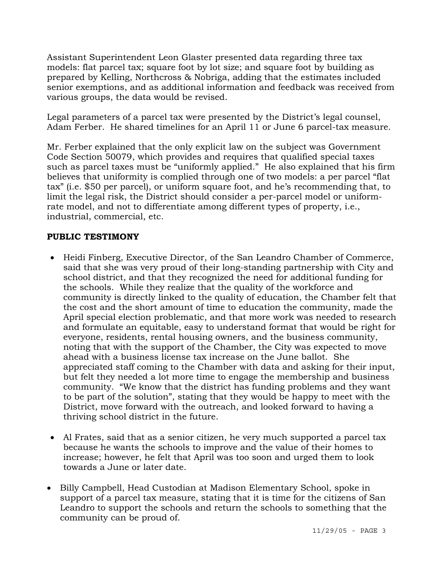Assistant Superintendent Leon Glaster presented data regarding three tax models: flat parcel tax; square foot by lot size; and square foot by building as prepared by Kelling, Northcross & Nobriga, adding that the estimates included senior exemptions, and as additional information and feedback was received from various groups, the data would be revised.

Legal parameters of a parcel tax were presented by the District's legal counsel, Adam Ferber. He shared timelines for an April 11 or June 6 parcel-tax measure.

Mr. Ferber explained that the only explicit law on the subject was Government Code Section 50079, which provides and requires that qualified special taxes such as parcel taxes must be "uniformly applied." He also explained that his firm believes that uniformity is complied through one of two models: a per parcel "flat tax" (i.e. \$50 per parcel), or uniform square foot, and he's recommending that, to limit the legal risk, the District should consider a per-parcel model or uniformrate model, and not to differentiate among different types of property, i.e., industrial, commercial, etc.

# **PUBLIC TESTIMONY**

- Heidi Finberg, Executive Director, of the San Leandro Chamber of Commerce, said that she was very proud of their long-standing partnership with City and school district, and that they recognized the need for additional funding for the schools. While they realize that the quality of the workforce and community is directly linked to the quality of education, the Chamber felt that the cost and the short amount of time to education the community, made the April special election problematic, and that more work was needed to research and formulate an equitable, easy to understand format that would be right for everyone, residents, rental housing owners, and the business community, noting that with the support of the Chamber, the City was expected to move ahead with a business license tax increase on the June ballot. She appreciated staff coming to the Chamber with data and asking for their input, but felt they needed a lot more time to engage the membership and business community. "We know that the district has funding problems and they want to be part of the solution", stating that they would be happy to meet with the District, move forward with the outreach, and looked forward to having a thriving school district in the future.
- Al Frates, said that as a senior citizen, he very much supported a parcel tax because he wants the schools to improve and the value of their homes to increase; however, he felt that April was too soon and urged them to look towards a June or later date.
- Billy Campbell, Head Custodian at Madison Elementary School, spoke in support of a parcel tax measure, stating that it is time for the citizens of San Leandro to support the schools and return the schools to something that the community can be proud of.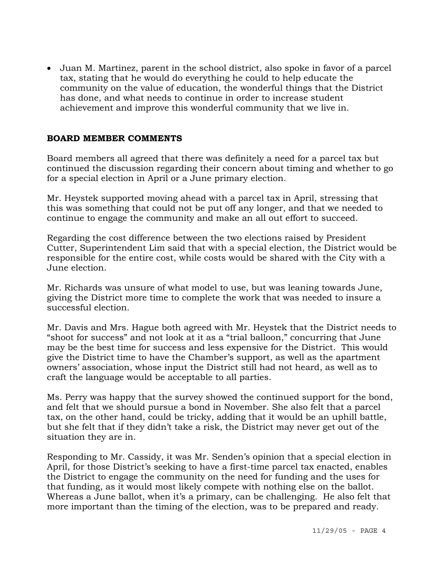• Juan M. Martinez, parent in the school district, also spoke in favor of a parcel tax, stating that he would do everything he could to help educate the community on the value of education, the wonderful things that the District has done, and what needs to continue in order to increase student achievement and improve this wonderful community that we live in.

# **BOARD MEMBER COMMENTS**

Board members all agreed that there was definitely a need for a parcel tax but continued the discussion regarding their concern about timing and whether to go for a special election in April or a June primary election.

Mr. Heystek supported moving ahead with a parcel tax in April, stressing that this was something that could not be put off any longer, and that we needed to continue to engage the community and make an all out effort to succeed.

Regarding the cost difference between the two elections raised by President Cutter, Superintendent Lim said that with a special election, the District would be responsible for the entire cost, while costs would be shared with the City with a June election.

Mr. Richards was unsure of what model to use, but was leaning towards June, giving the District more time to complete the work that was needed to insure a successful election.

Mr. Davis and Mrs. Hague both agreed with Mr. Heystek that the District needs to "shoot for success" and not look at it as a "trial balloon," concurring that June may be the best time for success and less expensive for the District. This would give the District time to have the Chamber's support, as well as the apartment owners' association, whose input the District still had not heard, as well as to craft the language would be acceptable to all parties.

Ms. Perry was happy that the survey showed the continued support for the bond, and felt that we should pursue a bond in November. She also felt that a parcel tax, on the other hand, could be tricky, adding that it would be an uphill battle, but she felt that if they didn't take a risk, the District may never get out of the situation they are in.

Responding to Mr. Cassidy, it was Mr. Senden's opinion that a special election in April, for those District's seeking to have a first-time parcel tax enacted, enables the District to engage the community on the need for funding and the uses for that funding, as it would most likely compete with nothing else on the ballot. Whereas a June ballot, when it's a primary, can be challenging. He also felt that more important than the timing of the election, was to be prepared and ready.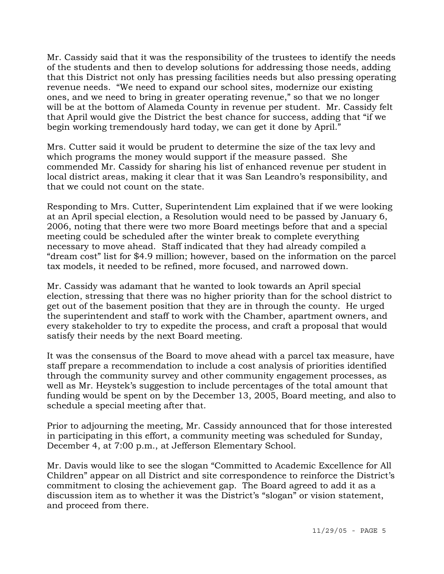Mr. Cassidy said that it was the responsibility of the trustees to identify the needs of the students and then to develop solutions for addressing those needs, adding that this District not only has pressing facilities needs but also pressing operating revenue needs. "We need to expand our school sites, modernize our existing ones, and we need to bring in greater operating revenue," so that we no longer will be at the bottom of Alameda County in revenue per student. Mr. Cassidy felt that April would give the District the best chance for success, adding that "if we begin working tremendously hard today, we can get it done by April."

Mrs. Cutter said it would be prudent to determine the size of the tax levy and which programs the money would support if the measure passed. She commended Mr. Cassidy for sharing his list of enhanced revenue per student in local district areas, making it clear that it was San Leandro's responsibility, and that we could not count on the state.

Responding to Mrs. Cutter, Superintendent Lim explained that if we were looking at an April special election, a Resolution would need to be passed by January 6, 2006, noting that there were two more Board meetings before that and a special meeting could be scheduled after the winter break to complete everything necessary to move ahead. Staff indicated that they had already compiled a "dream cost" list for \$4.9 million; however, based on the information on the parcel tax models, it needed to be refined, more focused, and narrowed down.

Mr. Cassidy was adamant that he wanted to look towards an April special election, stressing that there was no higher priority than for the school district to get out of the basement position that they are in through the county. He urged the superintendent and staff to work with the Chamber, apartment owners, and every stakeholder to try to expedite the process, and craft a proposal that would satisfy their needs by the next Board meeting.

It was the consensus of the Board to move ahead with a parcel tax measure, have staff prepare a recommendation to include a cost analysis of priorities identified through the community survey and other community engagement processes, as well as Mr. Heystek's suggestion to include percentages of the total amount that funding would be spent on by the December 13, 2005, Board meeting, and also to schedule a special meeting after that.

Prior to adjourning the meeting, Mr. Cassidy announced that for those interested in participating in this effort, a community meeting was scheduled for Sunday, December 4, at 7:00 p.m., at Jefferson Elementary School.

Mr. Davis would like to see the slogan "Committed to Academic Excellence for All Children" appear on all District and site correspondence to reinforce the District's commitment to closing the achievement gap. The Board agreed to add it as a discussion item as to whether it was the District's "slogan" or vision statement, and proceed from there.